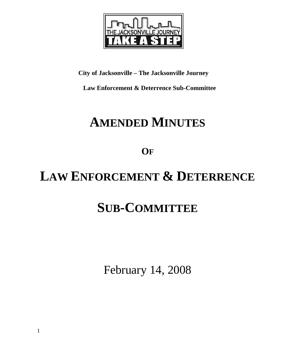

**City of Jacksonville – The Jacksonville Journey** 

 **Law Enforcement & Deterrence Sub-Committee** 

# **AMENDED MINUTES**

**OF**

# **LAW ENFORCEMENT & DETERRENCE**

# **SUB-COMMITTEE**

February 14, 2008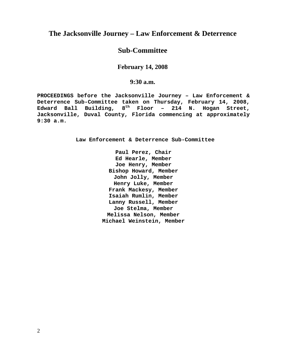# **The Jacksonville Journey – Law Enforcement & Deterrence**

# **Sub-Committee**

## **February 14, 2008**

## **9:30 a.m.**

**PROCEEDINGS before the Jacksonville Journey – Law Enforcement & Deterrence Sub-Committee taken on Thursday, February 14, 2008, Edward Ball Building, 8th Floor – 214 N. Hogan Street, Jacksonville, Duval County, Florida commencing at approximately 9:30 a.m.** 

**Law Enforcement & Deterrence Sub-Committee** 

**Paul Perez, Chair Ed Hearle, Member Joe Henry, Member Bishop Howard, Member John Jolly, Member Henry Luke, Member Frank Mackesy, Member Isaiah Rumlin, Member Lanny Russell, Member Joe Stelma, Member Melissa Nelson, Member Michael Weinstein, Member**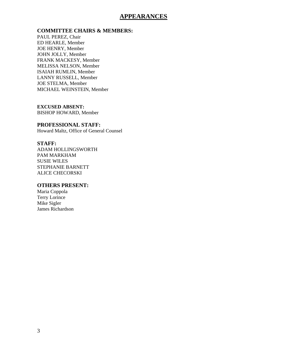## **APPEARANCES**

#### **COMMITTEE CHAIRS & MEMBERS:**

PAUL PEREZ, Chair ED HEARLE, Member JOE HENRY, Member JOHN JOLLY, Member FRANK MACKESY, Member MELISSA NELSON, Member ISAIAH RUMLIN, Member LANNY RUSSELL, Member JOE STELMA, Member MICHAEL WEINSTEIN, Member

**EXCUSED ABSENT:**  BISHOP HOWARD, Member

#### **PROFESSIONAL STAFF:**

Howard Maltz, Office of General Counsel

#### **STAFF:**

ADAM HOLLINGSWORTH PAM MARKHAM SUSIE WILES STEPHANIE BARNETT ALICE CHECORSKI

#### **OTHERS PRESENT:**

Maria Coppola Terry Lorince Mike Sigler James Richardson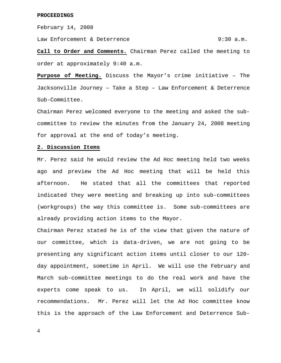February 14, 2008

Law Enforcement & Deterrence  $9:30$  a.m.

**Call to Order and Comments.** Chairman Perez called the meeting to order at approximately 9:40 a.m.

**Purpose of Meeting.** Discuss the Mayor's crime initiative – The Jacksonville Journey – Take a Step – Law Enforcement & Deterrence Sub-Committee.

Chairman Perez welcomed everyone to the meeting and asked the subcommittee to review the minutes from the January 24, 2008 meeting for approval at the end of today's meeting.

#### **2. Discussion Items**

Mr. Perez said he would review the Ad Hoc meeting held two weeks ago and preview the Ad Hoc meeting that will be held this afternoon. He stated that all the committees that reported indicated they were meeting and breaking up into sub-committees (workgroups) the way this committee is. Some sub-committees are already providing action items to the Mayor.

Chairman Perez stated he is of the view that given the nature of our committee, which is data-driven, we are not going to be presenting any significant action items until closer to our 120 day appointment, sometime in April. We will use the February and March sub-committee meetings to do the real work and have the experts come speak to us. In April, we will solidify our recommendations. Mr. Perez will let the Ad Hoc committee know this is the approach of the Law Enforcement and Deterrence Sub-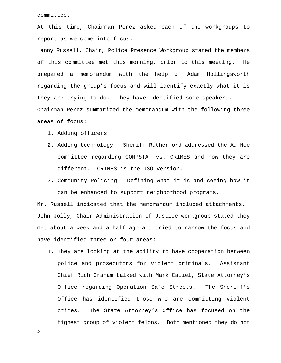committee.

At this time, Chairman Perez asked each of the workgroups to report as we come into focus.

Lanny Russell, Chair, Police Presence Workgroup stated the members of this committee met this morning, prior to this meeting. He prepared a memorandum with the help of Adam Hollingsworth regarding the group's focus and will identify exactly what it is they are trying to do. They have identified some speakers. Chairman Perez summarized the memorandum with the following three areas of focus:

- 1. Adding officers
- 2. Adding technology Sheriff Rutherford addressed the Ad Hoc committee regarding COMPSTAT vs. CRIMES and how they are different. CRIMES is the JSO version.
- 3. Community Policing Defining what it is and seeing how it can be enhanced to support neighborhood programs.

Mr. Russell indicated that the memorandum included attachments. John Jolly, Chair Administration of Justice workgroup stated they met about a week and a half ago and tried to narrow the focus and have identified three or four areas:

1. They are looking at the ability to have cooperation between police and prosecutors for violent criminals. Assistant Chief Rich Graham talked with Mark Caliel, State Attorney's Office regarding Operation Safe Streets. The Sheriff's Office has identified those who are committing violent crimes. The State Attorney's Office has focused on the highest group of violent felons. Both mentioned they do not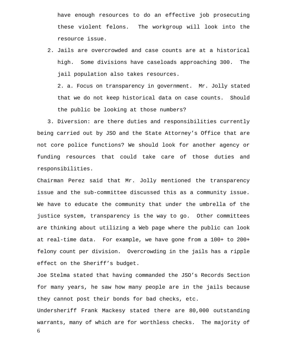have enough resources to do an effective job prosecuting these violent felons. The workgroup will look into the resource issue.

2. Jails are overcrowded and case counts are at a historical high. Some divisions have caseloads approaching 300. The jail population also takes resources.

2. a. Focus on transparency in government. Mr. Jolly stated that we do not keep historical data on case counts. Should the public be looking at those numbers?

 3. Diversion: are there duties and responsibilities currently being carried out by JSO and the State Attorney's Office that are not core police functions? We should look for another agency or funding resources that could take care of those duties and responsibilities.

Chairman Perez said that Mr. Jolly mentioned the transparency issue and the sub-committee discussed this as a community issue. We have to educate the community that under the umbrella of the justice system, transparency is the way to go. Other committees are thinking about utilizing a Web page where the public can look at real-time data. For example, we have gone from a 100+ to 200+ felony count per division. Overcrowding in the jails has a ripple effect on the Sheriff's budget.

Joe Stelma stated that having commanded the JSO's Records Section for many years, he saw how many people are in the jails because they cannot post their bonds for bad checks, etc.

6 Undersheriff Frank Mackesy stated there are 80,000 outstanding warrants, many of which are for worthless checks. The majority of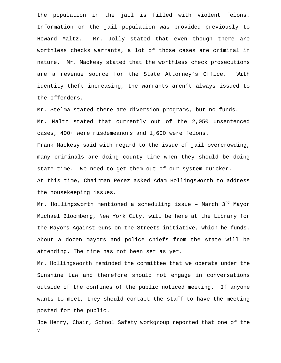the population in the jail is filled with violent felons. Information on the jail population was provided previously to Howard Maltz. Mr. Jolly stated that even though there are worthless checks warrants, a lot of those cases are criminal in nature. Mr. Mackesy stated that the worthless check prosecutions are a revenue source for the State Attorney's Office. With identity theft increasing, the warrants aren't always issued to the offenders.

Mr. Stelma stated there are diversion programs, but no funds. Mr. Maltz stated that currently out of the 2,050 unsentenced cases, 400+ were misdemeanors and 1,600 were felons. Frank Mackesy said with regard to the issue of jail overcrowding,

many criminals are doing county time when they should be doing state time. We need to get them out of our system quicker.

At this time, Chairman Perez asked Adam Hollingsworth to address the housekeeping issues.

Mr. Hollingsworth mentioned a scheduling issue - March 3<sup>rd</sup> Mayor Michael Bloomberg, New York City, will be here at the Library for the Mayors Against Guns on the Streets initiative, which he funds. About a dozen mayors and police chiefs from the state will be attending. The time has not been set as yet.

Mr. Hollingsworth reminded the committee that we operate under the Sunshine Law and therefore should not engage in conversations outside of the confines of the public noticed meeting. If anyone wants to meet, they should contact the staff to have the meeting posted for the public.

7 Joe Henry, Chair, School Safety workgroup reported that one of the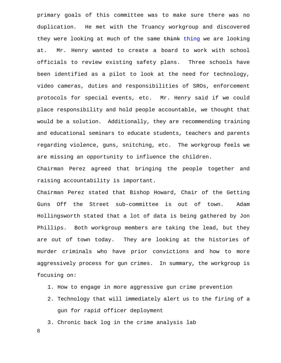primary goals of this committee was to make sure there was no duplication. He met with the Truancy workgroup and discovered they were looking at much of the same think thing we are looking at. Mr. Henry wanted to create a board to work with school officials to review existing safety plans. Three schools have been identified as a pilot to look at the need for technology, video cameras, duties and responsibilities of SROs, enforcement protocols for special events, etc. Mr. Henry said if we could place responsibility and hold people accountable, we thought that would be a solution. Additionally, they are recommending training and educational seminars to educate students, teachers and parents regarding violence, guns, snitching, etc. The workgroup feels we are missing an opportunity to influence the children.

Chairman Perez agreed that bringing the people together and raising accountability is important.

Chairman Perez stated that Bishop Howard, Chair of the Getting Guns Off the Street sub-committee is out of town. Adam Hollingsworth stated that a lot of data is being gathered by Jon Phillips. Both workgroup members are taking the lead, but they are out of town today. They are looking at the histories of murder criminals who have prior convictions and how to more aggressively process for gun crimes. In summary, the workgroup is focusing on:

- 1. How to engage in more aggressive gun crime prevention
- 2. Technology that will immediately alert us to the firing of a gun for rapid officer deployment

3. Chronic back log in the crime analysis lab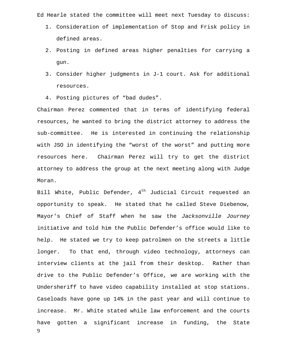Ed Hearle stated the committee will meet next Tuesday to discuss:

- 1. Consideration of implementation of Stop and Frisk policy in defined areas.
- 2. Posting in defined areas higher penalties for carrying a gun.
- 3. Consider higher judgments in J-1 court. Ask for additional resources.
- 4. Posting pictures of "bad dudes".

Chairman Perez commented that in terms of identifying federal resources, he wanted to bring the district attorney to address the sub-committee. He is interested in continuing the relationship with JSO in identifying the "worst of the worst" and putting more resources here. Chairman Perez will try to get the district attorney to address the group at the next meeting along with Judge Moran.

9 Bill White, Public Defender,  $4<sup>th</sup>$  Judicial Circuit requested an opportunity to speak. He stated that he called Steve Diebenow, Mayor's Chief of Staff when he saw the *Jacksonville Journey* initiative and told him the Public Defender's office would like to help. He stated we try to keep patrolmen on the streets a little longer. To that end, through video technology, attorneys can interview clients at the jail from their desktop. Rather than drive to the Public Defender's Office, we are working with the Undersheriff to have video capability installed at stop stations. Caseloads have gone up 14% in the past year and will continue to increase. Mr. White stated while law enforcement and the courts have gotten a significant increase in funding, the State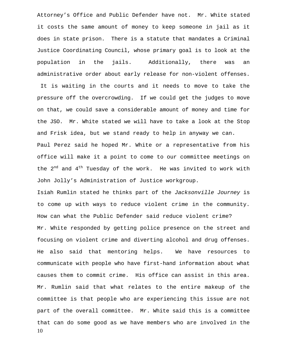Attorney's Office and Public Defender have not. Mr. White stated it costs the same amount of money to keep someone in jail as it does in state prison. There is a statute that mandates a Criminal Justice Coordinating Council, whose primary goal is to look at the population in the jails. Additionally, there was an administrative order about early release for non-violent offenses. It is waiting in the courts and it needs to move to take the pressure off the overcrowding. If we could get the judges to move on that, we could save a considerable amount of money and time for the JSO. Mr. White stated we will have to take a look at the Stop

and Frisk idea, but we stand ready to help in anyway we can. Paul Perez said he hoped Mr. White or a representative from his office will make it a point to come to our committee meetings on the  $2^{nd}$  and  $4^{th}$  Tuesday of the work. He was invited to work with John Jolly's Administration of Justice workgroup.

10 Isiah Rumlin stated he thinks part of the *Jacksonville Journey* is to come up with ways to reduce violent crime in the community. How can what the Public Defender said reduce violent crime? Mr. White responded by getting police presence on the street and focusing on violent crime and diverting alcohol and drug offenses. He also said that mentoring helps. We have resources to communicate with people who have first-hand information about what causes them to commit crime. His office can assist in this area. Mr. Rumlin said that what relates to the entire makeup of the committee is that people who are experiencing this issue are not part of the overall committee. Mr. White said this is a committee that can do some good as we have members who are involved in the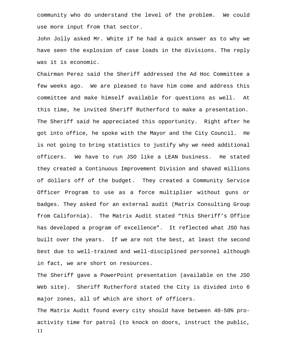community who do understand the level of the problem. We could use more input from that sector.

John Jolly asked Mr. White if he had a quick answer as to why we have seen the explosion of case loads in the divisions. The reply was it is economic.

Chairman Perez said the Sheriff addressed the Ad Hoc Committee a few weeks ago. We are pleased to have him come and address this committee and make himself available for questions as well. At this time, he invited Sheriff Rutherford to make a presentation. The Sheriff said he appreciated this opportunity. Right after he got into office, he spoke with the Mayor and the City Council. He is not going to bring statistics to justify why we need additional officers. We have to run JSO like a LEAN business. He stated they created a Continuous Improvement Division and shaved millions of dollars off of the budget. They created a Community Service Officer Program to use as a force multiplier without guns or badges. They asked for an external audit (Matrix Consulting Group from California). The Matrix Audit stated "this Sheriff's Office has developed a program of excellence". It reflected what JSO has built over the years. If we are not the best, at least the second best due to well-trained and well-disciplined personnel although in fact, we are short on resources.

The Sheriff gave a PowerPoint presentation (available on the JSO Web site). Sheriff Rutherford stated the City is divided into 6 major zones, all of which are short of officers.

11 The Matrix Audit found every city should have between 40-50% proactivity time for patrol (to knock on doors, instruct the public,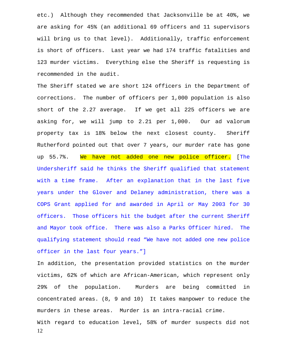etc.) Although they recommended that Jacksonville be at 40%, we are asking for 45% (an additional 69 officers and 11 supervisors will bring us to that level). Additionally, traffic enforcement is short of officers. Last year we had 174 traffic fatalities and 123 murder victims. Everything else the Sheriff is requesting is recommended in the audit.

The Sheriff stated we are short 124 officers in the Department of corrections. The number of officers per 1,000 population is also short of the 2.27 average. If we get all 225 officers we are asking for, we will jump to 2.21 per 1,000. Our ad valorum property tax is 18% below the next closest county. Sheriff Rutherford pointed out that over 7 years, our murder rate has gone up 55.7%. We have not added one new police officer. [The Undersheriff said he thinks the Sheriff qualified that statement with a time frame. After an explanation that in the last five years under the Glover and Delaney administration, there was a COPS Grant applied for and awarded in April or May 2003 for 30 officers. Those officers hit the budget after the current Sheriff and Mayor took office. There was also a Parks Officer hired. The qualifying statement should read "We have not added one new police officer in the last four years."]

In addition, the presentation provided statistics on the murder victims, 62% of which are African-American, which represent only 29% of the population. Murders are being committed in concentrated areas. (8, 9 and 10) It takes manpower to reduce the murders in these areas. Murder is an intra-racial crime. With regard to education level, 58% of murder suspects did not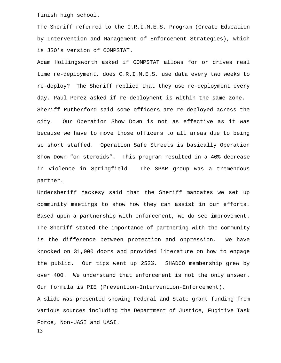finish high school.

The Sheriff referred to the C.R.I.M.E.S. Program (Create Education by Intervention and Management of Enforcement Strategies), which is JSO's version of COMPSTAT.

Adam Hollingsworth asked if COMPSTAT allows for or drives real time re-deployment, does C.R.I.M.E.S. use data every two weeks to re-deploy? The Sheriff replied that they use re-deployment every day. Paul Perez asked if re-deployment is within the same zone. Sheriff Rutherford said some officers are re-deployed across the city. Our Operation Show Down is not as effective as it was because we have to move those officers to all areas due to being so short staffed. Operation Safe Streets is basically Operation Show Down "on steroids". This program resulted in a 40% decrease in violence in Springfield. The SPAR group was a tremendous partner.

Undersheriff Mackesy said that the Sheriff mandates we set up community meetings to show how they can assist in our efforts. Based upon a partnership with enforcement, we do see improvement. The Sheriff stated the importance of partnering with the community is the difference between protection and oppression. We have knocked on 31,000 doors and provided literature on how to engage the public. Our tips went up 252%. SHADCO membership grew by over 400. We understand that enforcement is not the only answer. Our formula is PIE (Prevention-Intervention-Enforcement).

A slide was presented showing Federal and State grant funding from various sources including the Department of Justice, Fugitive Task Force, Non-UASI and UASI.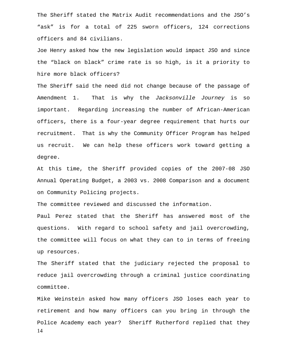The Sheriff stated the Matrix Audit recommendations and the JSO's "ask" is for a total of 225 sworn officers, 124 corrections officers and 84 civilians.

Joe Henry asked how the new legislation would impact JSO and since the "black on black" crime rate is so high, is it a priority to hire more black officers?

The Sheriff said the need did not change because of the passage of Amendment 1. That is why the *Jacksonville Journey* is so important. Regarding increasing the number of African-American officers, there is a four-year degree requirement that hurts our recruitment. That is why the Community Officer Program has helped us recruit. We can help these officers work toward getting a degree.

At this time, the Sheriff provided copies of the 2007-08 JSO Annual Operating Budget, a 2003 vs. 2008 Comparison and a document on Community Policing projects.

The committee reviewed and discussed the information.

Paul Perez stated that the Sheriff has answered most of the questions. With regard to school safety and jail overcrowding, the committee will focus on what they can to in terms of freeing up resources.

The Sheriff stated that the judiciary rejected the proposal to reduce jail overcrowding through a criminal justice coordinating committee.

14 Mike Weinstein asked how many officers JSO loses each year to retirement and how many officers can you bring in through the Police Academy each year? Sheriff Rutherford replied that they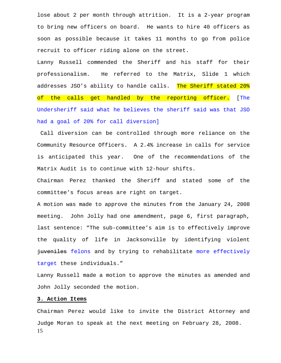lose about 2 per month through attrition. It is a 2-year program to bring new officers on board. He wants to hire 40 officers as soon as possible because it takes 11 months to go from police recruit to officer riding alone on the street.

Lanny Russell commended the Sheriff and his staff for their professionalism. He referred to the Matrix, Slide 1 which addresses JSO's ability to handle calls. The Sheriff stated 20% of the calls get handled by the reporting officer. [The Undersheriff said what he believes the sheriff said was that JSO had a goal of 20% for call diversion]

 Call diversion can be controlled through more reliance on the Community Resource Officers. A 2.4% increase in calls for service is anticipated this year. One of the recommendations of the Matrix Audit is to continue with 12-hour shifts.

Chairman Perez thanked the Sheriff and stated some of the committee's focus areas are right on target.

A motion was made to approve the minutes from the January 24, 2008 meeting. John Jolly had one amendment, page 6, first paragraph, last sentence: "The sub-committee's aim is to effectively improve the quality of life in Jacksonville by identifying violent juveniles felons and by trying to rehabilitate more effectively target these individuals."

Lanny Russell made a motion to approve the minutes as amended and John Jolly seconded the motion.

#### **3. Action Items**

15 Chairman Perez would like to invite the District Attorney and Judge Moran to speak at the next meeting on February 28, 2008.